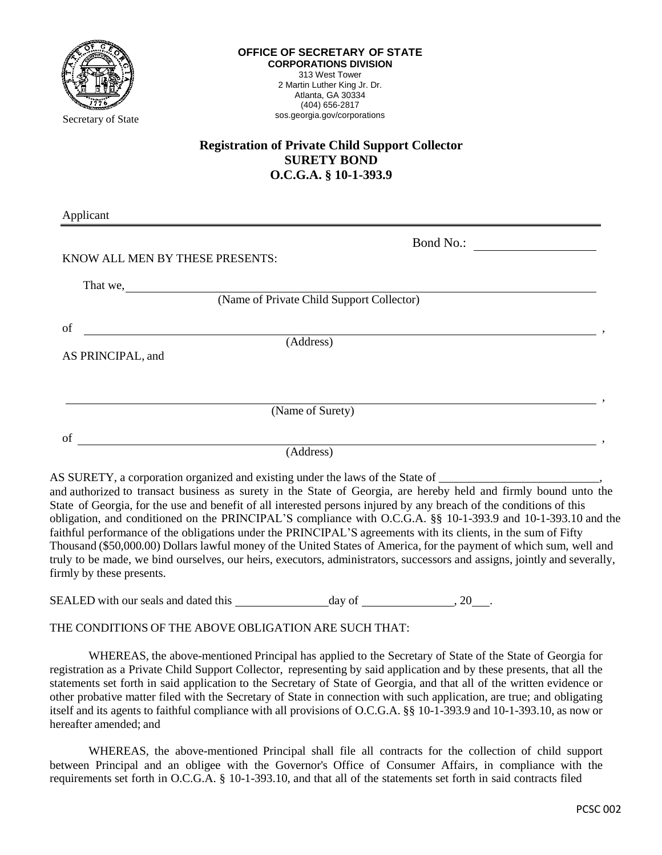

## **Registration of Private Child Support Collector SURETY BOND O.C.G.A. § 10-1-393.9**

Applicant

| $\frac{1}{1}$                   |                                           |  |
|---------------------------------|-------------------------------------------|--|
|                                 | Bond No.:                                 |  |
| KNOW ALL MEN BY THESE PRESENTS: |                                           |  |
| That we,                        |                                           |  |
|                                 | (Name of Private Child Support Collector) |  |
| of                              |                                           |  |
|                                 | (Address)                                 |  |
| AS PRINCIPAL, and               |                                           |  |
|                                 |                                           |  |
|                                 | (Name of Surety)                          |  |
| of                              |                                           |  |
|                                 | (Address)                                 |  |
|                                 |                                           |  |

AS SURETY, a corporation organized and existing under the laws of the State of

and authorized to transact business as surety in the State of Georgia, are hereby held and firmly bound unto the State of Georgia, for the use and benefit of all interested persons injured by any breach of the conditions of this obligation, and conditioned on the PRINCIPAL'S compliance with O.C.G.A. §§ 10-1-393.9 and 10-1-393.10 and the faithful performance of the obligations under the PRINCIPAL'S agreements with its clients, in the sum of Fifty Thousand (\$50,000.00) Dollars lawful money of the United States of America, for the payment of which sum, well and truly to be made, we bind ourselves, our heirs, executors, administrators, successors and assigns, jointly and severally, firmly by these presents.

SEALED with our seals and dated this day of , 20 .

THE CONDITIONS OF THE ABOVE OBLIGATION ARE SUCH THAT:

WHEREAS, the above-mentioned Principal has applied to the Secretary of State of the State of Georgia for registration as a Private Child Support Collector, representing by said application and by these presents, that all the statements set forth in said application to the Secretary of State of Georgia, and that all of the written evidence or other probative matter filed with the Secretary of State in connection with such application, are true; and obligating itself and its agents to faithful compliance with all provisions of O.C.G.A. §§ 10-1-393.9 and 10-1-393.10, as now or hereafter amended; and

WHEREAS, the above-mentioned Principal shall file all contracts for the collection of child support between Principal and an obligee with the Governor's Office of Consumer Affairs, in compliance with the requirements set forth in O.C.G.A. § 10-1-393.10, and that all of the statements set forth in said contracts filed